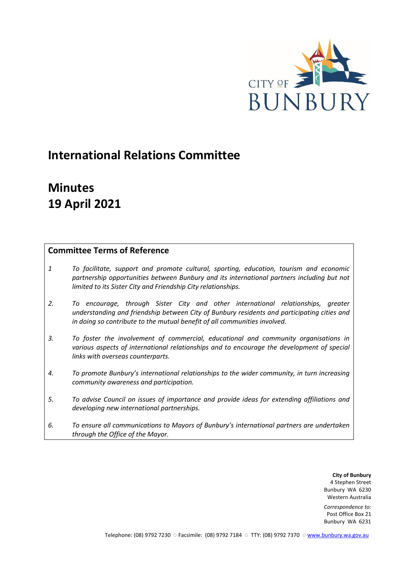

# **International Relations Committee**

# **Minutes 19 April 2021**

# **Committee Terms of Reference**

- *1 To facilitate, support and promote cultural, sporting, education, tourism and economic partnership opportunities between Bunbury and its international partners including but not limited to its Sister City and Friendship City relationships.*
- *2. To encourage, through Sister City and other international relationships, greater understanding and friendship between City of Bunbury residents and participating cities and in doing so contribute to the mutual benefit of all communities involved.*
- *3. To foster the involvement of commercial, educational and community organisations in various aspects of international relationships and to encourage the development of special links with overseas counterparts.*
- *4. To promote Bunbury's international relationships to the wider community, in turn increasing community awareness and participation.*
- *5. To advise Council on issues of importance and provide ideas for extending affiliations and developing new international partnerships.*
- *6. To ensure all communications to Mayors of Bunbury's international partners are undertaken through the Office of the Mayor.*

**City of Bunbury** 4 Stephen Street Bunbury WA 6230 Western Australia

*Correspondence to:* Post Office Box 21 Bunbury WA 6231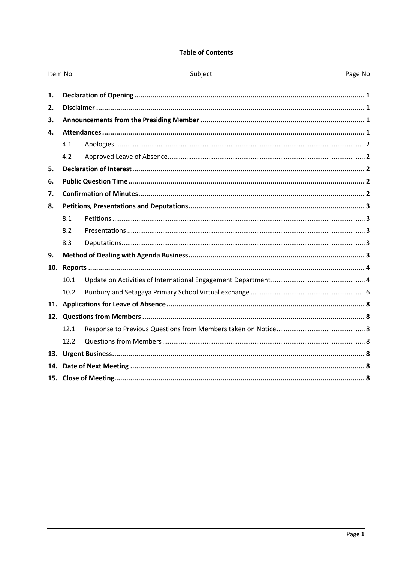# **Table of Contents**

|     | Item No           | Subject | Page No |
|-----|-------------------|---------|---------|
| 1.  |                   |         |         |
| 2.  |                   |         |         |
| 3.  |                   |         |         |
| 4.  |                   |         |         |
|     | 4.1               |         |         |
|     | 4.2               |         |         |
| 5.  |                   |         |         |
| 6.  |                   |         |         |
| 7.  |                   |         |         |
| 8.  |                   |         |         |
|     | 8.1               |         |         |
|     | 8.2               |         |         |
|     | 8.3               |         |         |
| 9.  |                   |         |         |
| 10. |                   |         |         |
|     | 10.1              |         |         |
|     | 10.2 <sup>2</sup> |         |         |
| 11. |                   |         |         |
|     |                   |         |         |
|     | 12.1              |         |         |
|     | 12.2              |         |         |
|     |                   |         |         |
| 14. |                   |         |         |
|     |                   |         |         |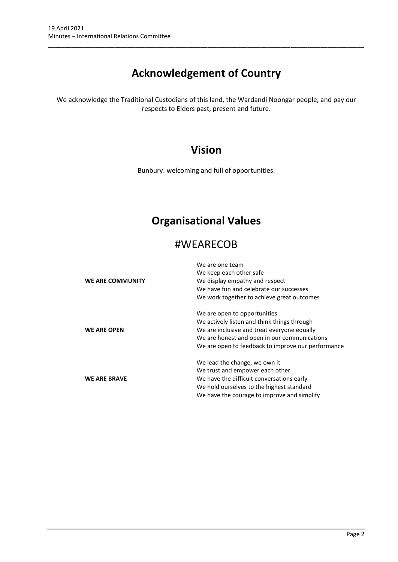# **Acknowledgement of Country**

\_\_\_\_\_\_\_\_\_\_\_\_\_\_\_\_\_\_\_\_\_\_\_\_\_\_\_\_\_\_\_\_\_\_\_\_\_\_\_\_\_\_\_\_\_\_\_\_\_\_\_\_\_\_\_\_\_\_\_\_\_\_\_\_\_\_\_\_\_\_\_\_\_\_\_\_\_\_\_\_\_\_\_\_\_\_\_\_\_\_\_\_\_\_\_

We acknowledge the Traditional Custodians of this land, the Wardandi Noongar people, and pay our respects to Elders past, present and future.

# **Vision**

Bunbury: welcoming and full of opportunities.

# **Organisational Values**

# #WEARECOB

|                         | We are one team                                    |
|-------------------------|----------------------------------------------------|
|                         | We keep each other safe                            |
| <b>WE ARE COMMUNITY</b> | We display empathy and respect                     |
|                         | We have fun and celebrate our successes            |
|                         | We work together to achieve great outcomes         |
|                         | We are open to opportunities                       |
|                         | We actively listen and think things through        |
| <b>WE ARE OPEN</b>      | We are inclusive and treat everyone equally        |
|                         | We are honest and open in our communications       |
|                         | We are open to feedback to improve our performance |
|                         | We lead the change, we own it                      |
|                         | We trust and empower each other                    |
| <b>WE ARE BRAVE</b>     | We have the difficult conversations early          |
|                         | We hold ourselves to the highest standard          |
|                         | We have the courage to improve and simplify        |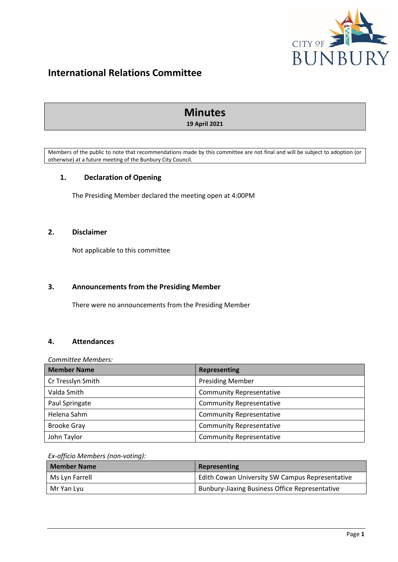

# **International Relations Committee**

# **Minutes 19 April 2021**

Members of the public to note that recommendations made by this committee are not final and will be subject to adoption (or otherwise) at a future meeting of the Bunbury City Council.

# <span id="page-3-0"></span>**1. Declaration of Opening**

The Presiding Member declared the meeting open at 4:00PM

# <span id="page-3-1"></span>**2. Disclaimer**

Not applicable to this committee

## <span id="page-3-2"></span>**3. Announcements from the Presiding Member**

There were no announcements from the Presiding Member

### <span id="page-3-3"></span>**4. Attendances**

#### *Committee Members:*

| <b>Member Name</b> | Representing                    |
|--------------------|---------------------------------|
| Cr Tresslyn Smith  | <b>Presiding Member</b>         |
| Valda Smith        | <b>Community Representative</b> |
| Paul Springate     | <b>Community Representative</b> |
| Helena Sahm        | <b>Community Representative</b> |
| <b>Brooke Gray</b> | <b>Community Representative</b> |
| John Taylor        | <b>Community Representative</b> |

#### *Ex-officio Members (non-voting):*

| <b>Member Name</b> | Representing                                          |  |  |
|--------------------|-------------------------------------------------------|--|--|
| Ms Lyn Farrell     | Edith Cowan University SW Campus Representative       |  |  |
| Mr Yan Lvu         | <b>Bunbury-Jiaxing Business Office Representative</b> |  |  |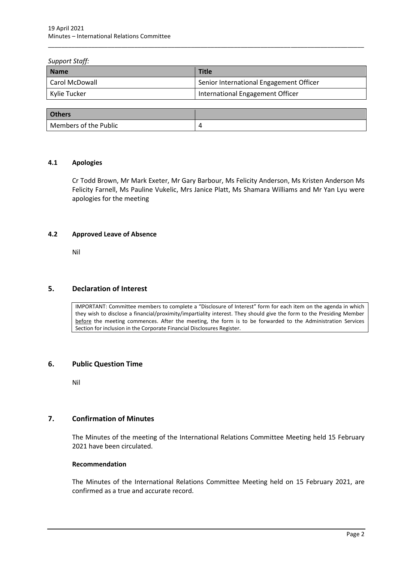#### *Support Staff:*

| <b>Name</b>    | <b>Title</b>                            |
|----------------|-----------------------------------------|
| Carol McDowall | Senior International Engagement Officer |
| Kylie Tucker   | International Engagement Officer        |

\_\_\_\_\_\_\_\_\_\_\_\_\_\_\_\_\_\_\_\_\_\_\_\_\_\_\_\_\_\_\_\_\_\_\_\_\_\_\_\_\_\_\_\_\_\_\_\_\_\_\_\_\_\_\_\_\_\_\_\_\_\_\_\_\_\_\_\_\_\_\_\_\_\_\_\_\_\_\_\_\_\_\_\_\_\_\_\_\_\_\_\_\_\_\_

| <b>Others</b>         |  |
|-----------------------|--|
| Members of the Public |  |

#### <span id="page-4-0"></span>**4.1 Apologies**

Cr Todd Brown, Mr Mark Exeter, Mr Gary Barbour, Ms Felicity Anderson, Ms Kristen Anderson Ms Felicity Farnell, Ms Pauline Vukelic, Mrs Janice Platt, Ms Shamara Williams and Mr Yan Lyu were apologies for the meeting

#### <span id="page-4-1"></span>**4.2 Approved Leave of Absence**

Nil

## <span id="page-4-2"></span>**5. Declaration of Interest**

IMPORTANT: Committee members to complete a "Disclosure of Interest" form for each item on the agenda in which they wish to disclose a financial/proximity/impartiality interest. They should give the form to the Presiding Member before the meeting commences. After the meeting, the form is to be forwarded to the Administration Services Section for inclusion in the Corporate Financial Disclosures Register.

#### <span id="page-4-3"></span>**6. Public Question Time**

Nil

## <span id="page-4-4"></span>**7. Confirmation of Minutes**

The Minutes of the meeting of the International Relations Committee Meeting held 15 February 2021 have been circulated.

#### **Recommendation**

The Minutes of the International Relations Committee Meeting held on 15 February 2021, are confirmed as a true and accurate record.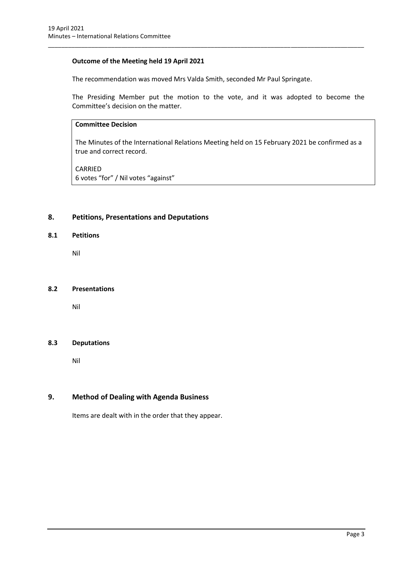#### **Outcome of the Meeting held 19 April 2021**

The recommendation was moved Mrs Valda Smith, seconded Mr Paul Springate.

\_\_\_\_\_\_\_\_\_\_\_\_\_\_\_\_\_\_\_\_\_\_\_\_\_\_\_\_\_\_\_\_\_\_\_\_\_\_\_\_\_\_\_\_\_\_\_\_\_\_\_\_\_\_\_\_\_\_\_\_\_\_\_\_\_\_\_\_\_\_\_\_\_\_\_\_\_\_\_\_\_\_\_\_\_\_\_\_\_\_\_\_\_\_\_

The Presiding Member put the motion to the vote, and it was adopted to become the Committee's decision on the matter.

#### **Committee Decision**

The Minutes of the International Relations Meeting held on 15 February 2021 be confirmed as a true and correct record.

CARRIED 6 votes "for" / Nil votes "against"

## <span id="page-5-0"></span>**8. Petitions, Presentations and Deputations**

#### <span id="page-5-1"></span>**8.1 Petitions**

Nil

#### <span id="page-5-2"></span>**8.2 Presentations**

Nil

#### <span id="page-5-3"></span>**8.3 Deputations**

Nil

## <span id="page-5-4"></span>**9. Method of Dealing with Agenda Business**

Items are dealt with in the order that they appear.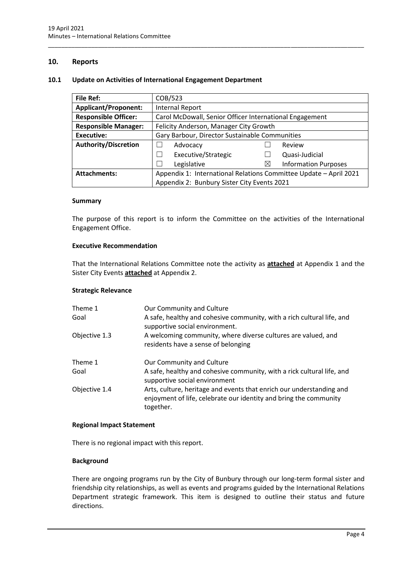#### <span id="page-6-0"></span>**10. Reports**

#### <span id="page-6-1"></span>**10.1 Update on Activities of International Engagement Department**

| <b>File Ref:</b>            | COB/523                                                           |          |                             |  |
|-----------------------------|-------------------------------------------------------------------|----------|-----------------------------|--|
| <b>Applicant/Proponent:</b> | <b>Internal Report</b>                                            |          |                             |  |
| <b>Responsible Officer:</b> | Carol McDowall, Senior Officer International Engagement           |          |                             |  |
| <b>Responsible Manager:</b> | Felicity Anderson, Manager City Growth                            |          |                             |  |
| Executive:                  | Gary Barbour, Director Sustainable Communities                    |          |                             |  |
| <b>Authority/Discretion</b> | Advocacy                                                          |          | Review                      |  |
|                             | Executive/Strategic                                               |          | Quasi-Judicial              |  |
|                             | Legislative                                                       | $\times$ | <b>Information Purposes</b> |  |
| <b>Attachments:</b>         | Appendix 1: International Relations Committee Update - April 2021 |          |                             |  |
|                             | Appendix 2: Bunbury Sister City Events 2021                       |          |                             |  |

\_\_\_\_\_\_\_\_\_\_\_\_\_\_\_\_\_\_\_\_\_\_\_\_\_\_\_\_\_\_\_\_\_\_\_\_\_\_\_\_\_\_\_\_\_\_\_\_\_\_\_\_\_\_\_\_\_\_\_\_\_\_\_\_\_\_\_\_\_\_\_\_\_\_\_\_\_\_\_\_\_\_\_\_\_\_\_\_\_\_\_\_\_\_\_

#### **Summary**

The purpose of this report is to inform the Committee on the activities of the International Engagement Office.

#### **Executive Recommendation**

That the International Relations Committee note the activity as **attached** at Appendix 1 and the Sister City Events **attached** at Appendix 2.

#### **Strategic Relevance**

| Theme 1<br>Goal | Our Community and Culture<br>A safe, healthy and cohesive community, with a rich cultural life, and<br>supportive social environment.                  |  |  |
|-----------------|--------------------------------------------------------------------------------------------------------------------------------------------------------|--|--|
| Objective 1.3   | A welcoming community, where diverse cultures are valued, and<br>residents have a sense of belonging                                                   |  |  |
| Theme 1         | Our Community and Culture                                                                                                                              |  |  |
| Goal            | A safe, healthy and cohesive community, with a rick cultural life, and<br>supportive social environment                                                |  |  |
| Objective 1.4   | Arts, culture, heritage and events that enrich our understanding and<br>enjoyment of life, celebrate our identity and bring the community<br>together. |  |  |

#### **Regional Impact Statement**

There is no regional impact with this report.

#### **Background**

There are ongoing programs run by the City of Bunbury through our long-term formal sister and friendship city relationships, as well as events and programs guided by the International Relations Department strategic framework. This item is designed to outline their status and future directions.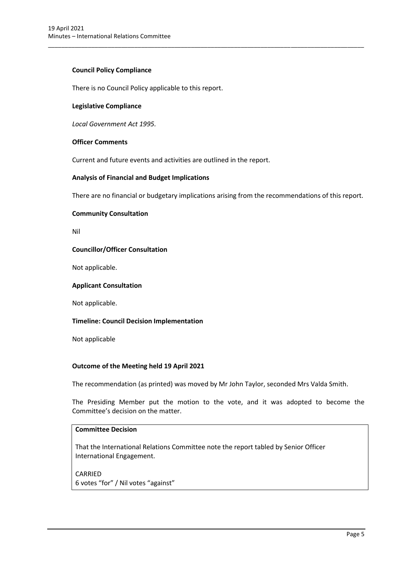#### **Council Policy Compliance**

There is no Council Policy applicable to this report.

#### **Legislative Compliance**

*Local Government Act 1995.*

#### **Officer Comments**

Current and future events and activities are outlined in the report.

#### **Analysis of Financial and Budget Implications**

There are no financial or budgetary implications arising from the recommendations of this report.

\_\_\_\_\_\_\_\_\_\_\_\_\_\_\_\_\_\_\_\_\_\_\_\_\_\_\_\_\_\_\_\_\_\_\_\_\_\_\_\_\_\_\_\_\_\_\_\_\_\_\_\_\_\_\_\_\_\_\_\_\_\_\_\_\_\_\_\_\_\_\_\_\_\_\_\_\_\_\_\_\_\_\_\_\_\_\_\_\_\_\_\_\_\_\_

#### **Community Consultation**

Nil

#### **Councillor/Officer Consultation**

Not applicable.

#### **Applicant Consultation**

Not applicable.

#### **Timeline: Council Decision Implementation**

Not applicable

#### **Outcome of the Meeting held 19 April 2021**

The recommendation (as printed) was moved by Mr John Taylor, seconded Mrs Valda Smith.

The Presiding Member put the motion to the vote, and it was adopted to become the Committee's decision on the matter.

#### **Committee Decision**

That the International Relations Committee note the report tabled by Senior Officer International Engagement.

## CARRIED 6 votes "for" / Nil votes "against"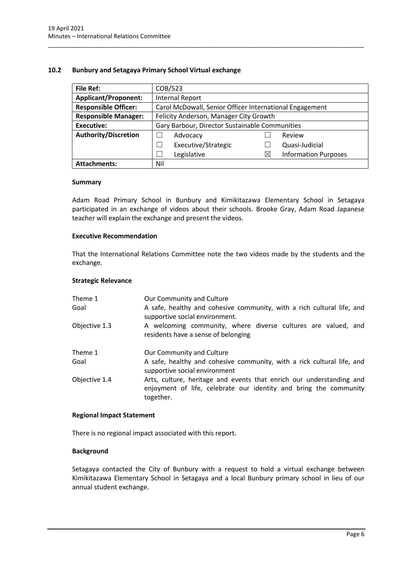#### <span id="page-8-0"></span>**10.2 Bunbury and Setagaya Primary School Virtual exchange**

| <b>File Ref:</b>            | COB/523                                                 |          |                             |
|-----------------------------|---------------------------------------------------------|----------|-----------------------------|
| <b>Applicant/Proponent:</b> | <b>Internal Report</b>                                  |          |                             |
| <b>Responsible Officer:</b> | Carol McDowall, Senior Officer International Engagement |          |                             |
| <b>Responsible Manager:</b> | Felicity Anderson, Manager City Growth                  |          |                             |
| <b>Executive:</b>           | Gary Barbour, Director Sustainable Communities          |          |                             |
| <b>Authority/Discretion</b> | Advocacy                                                |          | Review                      |
|                             | Executive/Strategic<br>$\overline{\phantom{0}}$         |          | Quasi-Judicial              |
|                             | Legislative<br>$\overline{\phantom{0}}$                 | $\times$ | <b>Information Purposes</b> |
| <b>Attachments:</b>         | Nil                                                     |          |                             |

\_\_\_\_\_\_\_\_\_\_\_\_\_\_\_\_\_\_\_\_\_\_\_\_\_\_\_\_\_\_\_\_\_\_\_\_\_\_\_\_\_\_\_\_\_\_\_\_\_\_\_\_\_\_\_\_\_\_\_\_\_\_\_\_\_\_\_\_\_\_\_\_\_\_\_\_\_\_\_\_\_\_\_\_\_\_\_\_\_\_\_\_\_\_\_

#### **Summary**

Adam Road Primary School in Bunbury and Kimikitazawa Elementary School in Setagaya participated in an exchange of videos about their schools. Brooke Gray, Adam Road Japanese teacher will explain the exchange and present the videos.

#### **Executive Recommendation**

That the International Relations Committee note the two videos made by the students and the exchange.

#### **Strategic Relevance**

| Theme 1<br>Goal | Our Community and Culture<br>A safe, healthy and cohesive community, with a rich cultural life, and<br>supportive social environment.                  |
|-----------------|--------------------------------------------------------------------------------------------------------------------------------------------------------|
| Objective 1.3   | A welcoming community, where diverse cultures are valued, and<br>residents have a sense of belonging                                                   |
| Theme 1         | Our Community and Culture                                                                                                                              |
| Goal            | A safe, healthy and cohesive community, with a rick cultural life, and<br>supportive social environment                                                |
| Objective 1.4   | Arts, culture, heritage and events that enrich our understanding and<br>enjoyment of life, celebrate our identity and bring the community<br>together. |

#### **Regional Impact Statement**

There is no regional impact associated with this report.

#### **Background**

Setagaya contacted the City of Bunbury with a request to hold a virtual exchange between Kimikitazawa Elementary School in Setagaya and a local Bunbury primary school in lieu of our annual student exchange.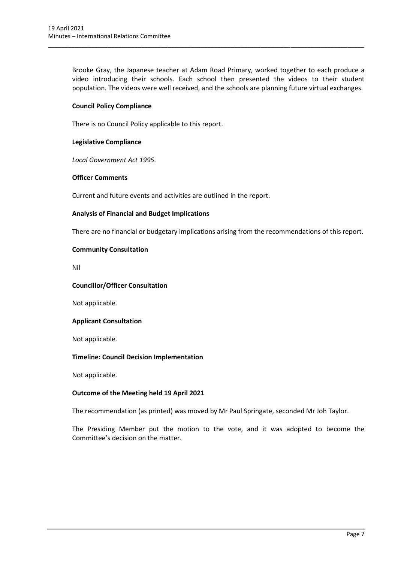Brooke Gray, the Japanese teacher at Adam Road Primary, worked together to each produce a video introducing their schools. Each school then presented the videos to their student population. The videos were well received, and the schools are planning future virtual exchanges.

\_\_\_\_\_\_\_\_\_\_\_\_\_\_\_\_\_\_\_\_\_\_\_\_\_\_\_\_\_\_\_\_\_\_\_\_\_\_\_\_\_\_\_\_\_\_\_\_\_\_\_\_\_\_\_\_\_\_\_\_\_\_\_\_\_\_\_\_\_\_\_\_\_\_\_\_\_\_\_\_\_\_\_\_\_\_\_\_\_\_\_\_\_\_\_

#### **Council Policy Compliance**

There is no Council Policy applicable to this report.

#### **Legislative Compliance**

*Local Government Act 1995.*

#### **Officer Comments**

Current and future events and activities are outlined in the report.

#### **Analysis of Financial and Budget Implications**

There are no financial or budgetary implications arising from the recommendations of this report.

#### **Community Consultation**

Nil

#### **Councillor/Officer Consultation**

Not applicable.

#### **Applicant Consultation**

Not applicable.

#### **Timeline: Council Decision Implementation**

Not applicable.

#### **Outcome of the Meeting held 19 April 2021**

The recommendation (as printed) was moved by Mr Paul Springate, seconded Mr Joh Taylor.

The Presiding Member put the motion to the vote, and it was adopted to become the Committee's decision on the matter.